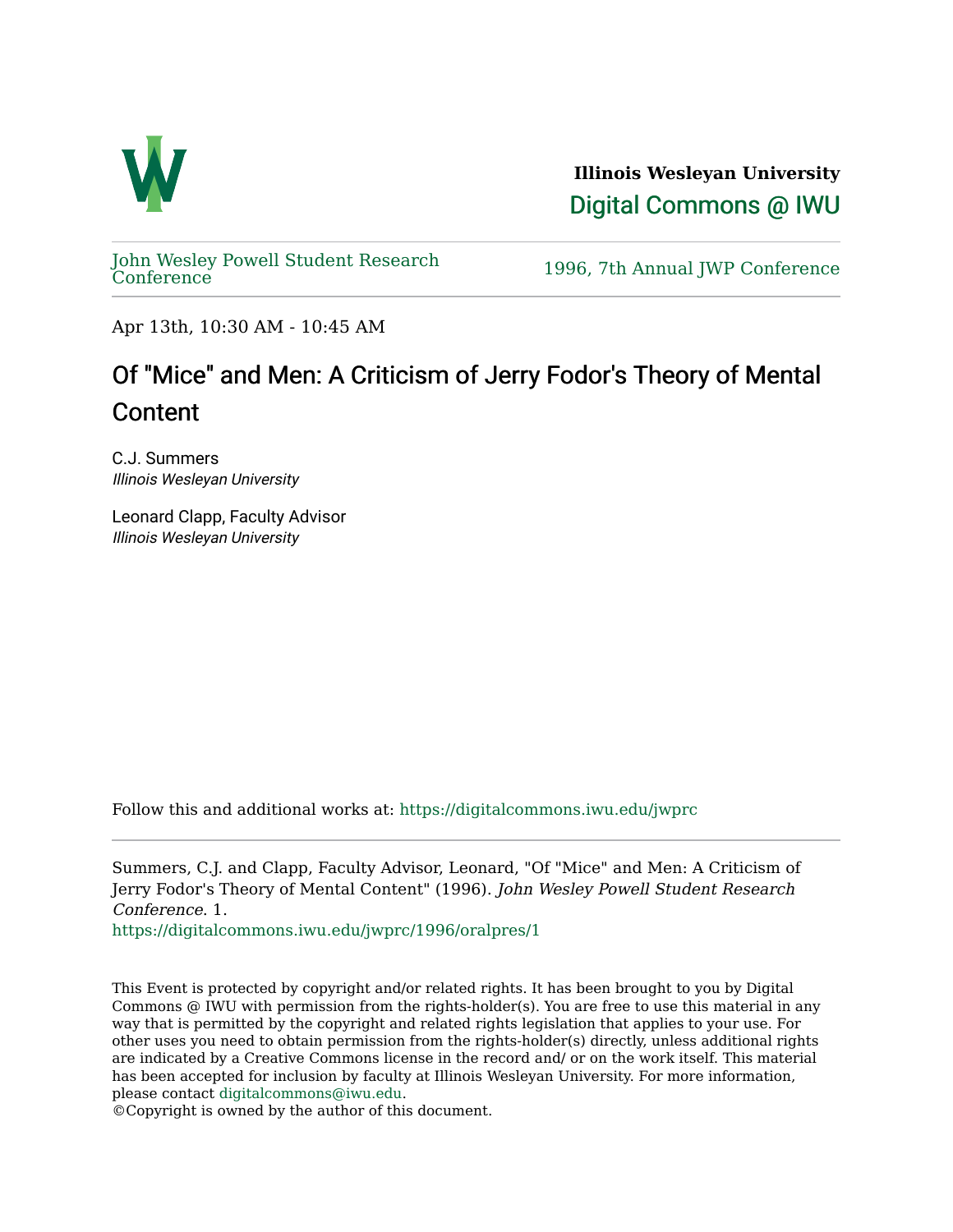

**Illinois Wesleyan University**  [Digital Commons @ IWU](https://digitalcommons.iwu.edu/) 

[John Wesley Powell Student Research](https://digitalcommons.iwu.edu/jwprc) 

1996, 7th Annual JWP [Conference](https://digitalcommons.iwu.edu/jwprc)

Apr 13th, 10:30 AM - 10:45 AM

## Of "Mice" and Men: A Criticism of Jerry Fodor's Theory of Mental Content

C.J. Summers Illinois Wesleyan University

Leonard Clapp, Faculty Advisor Illinois Wesleyan University

Follow this and additional works at: [https://digitalcommons.iwu.edu/jwprc](https://digitalcommons.iwu.edu/jwprc?utm_source=digitalcommons.iwu.edu%2Fjwprc%2F1996%2Foralpres%2F1&utm_medium=PDF&utm_campaign=PDFCoverPages) 

Summers, C.J. and Clapp, Faculty Advisor, Leonard, "Of "Mice" and Men: A Criticism of Jerry Fodor's Theory of Mental Content" (1996). John Wesley Powell Student Research Conference. 1.

[https://digitalcommons.iwu.edu/jwprc/1996/oralpres/1](https://digitalcommons.iwu.edu/jwprc/1996/oralpres/1?utm_source=digitalcommons.iwu.edu%2Fjwprc%2F1996%2Foralpres%2F1&utm_medium=PDF&utm_campaign=PDFCoverPages) 

This Event is protected by copyright and/or related rights. It has been brought to you by Digital Commons @ IWU with permission from the rights-holder(s). You are free to use this material in any way that is permitted by the copyright and related rights legislation that applies to your use. For other uses you need to obtain permission from the rights-holder(s) directly, unless additional rights are indicated by a Creative Commons license in the record and/ or on the work itself. This material has been accepted for inclusion by faculty at Illinois Wesleyan University. For more information, please contact [digitalcommons@iwu.edu.](mailto:digitalcommons@iwu.edu)

©Copyright is owned by the author of this document.